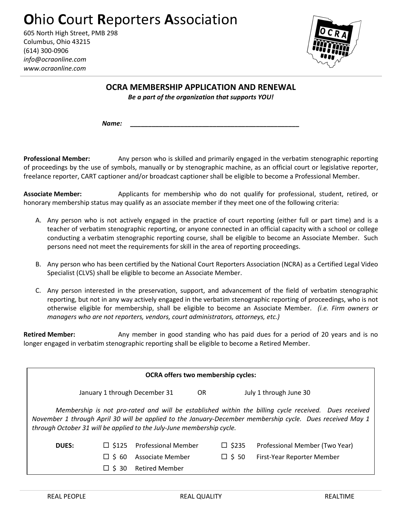## **O**hio **C**ourt **R**eporters **A**ssociation

605 North High Street, PMB 298 Columbus, Ohio 43215 (614) 300-0906 *info@ocraonline.com www.ocraonline.com* 



**OCRA MEMBERSHIP APPLICATION AND RENEWAL** 

*Be a part of the organization that supports YOU!* 

*Name: \_\_\_\_\_\_\_\_\_\_\_\_\_\_\_\_\_\_\_\_\_\_\_\_\_\_\_\_\_\_\_\_\_\_\_\_\_\_\_\_\_\_\_\_\_\_\_* 

**Professional Member:** Any person who is skilled and primarily engaged in the verbatim stenographic reporting of proceedings by the use of symbols, manually or by stenographic machine, as an official court or legislative reporter, freelance reporter, CART captioner and/or broadcast captioner shall be eligible to become a Professional Member.

**Associate Member:** Applicants for membership who do not qualify for professional, student, retired, or honorary membership status may qualify as an associate member if they meet one of the following criteria:

- A. Any person who is not actively engaged in the practice of court reporting (either full or part time) and is a teacher of verbatim stenographic reporting, or anyone connected in an official capacity with a school or college conducting a verbatim stenographic reporting course, shall be eligible to become an Associate Member. Such persons need not meet the requirements for skill in the area of reporting proceedings.
- B. Any person who has been certified by the National Court Reporters Association (NCRA) as a Certified Legal Video Specialist (CLVS) shall be eligible to become an Associate Member.
- C. Any person interested in the preservation, support, and advancement of the field of verbatim stenographic reporting, but not in any way actively engaged in the verbatim stenographic reporting of proceedings, who is not otherwise eligible for membership, shall be eligible to become an Associate Member. *(i.e. Firm owners or managers who are not reporters, vendors, court administrators, attorneys, etc.)*

**Retired Member:** Any member in good standing who has paid dues for a period of 20 years and is no longer engaged in verbatim stenographic reporting shall be eligible to become a Retired Member.

| <b>OCRA offers two membership cycles:</b>                                                                                                                                                                                                                                                  |                               |                            |     |                 |                                |  |
|--------------------------------------------------------------------------------------------------------------------------------------------------------------------------------------------------------------------------------------------------------------------------------------------|-------------------------------|----------------------------|-----|-----------------|--------------------------------|--|
|                                                                                                                                                                                                                                                                                            | January 1 through December 31 |                            | OR. |                 | July 1 through June 30         |  |
| Membership is not pro-rated and will be established within the billing cycle received. Dues received<br>November 1 through April 30 will be applied to the January-December membership cycle. Dues received May 1<br>through October 31 will be applied to the July-June membership cycle. |                               |                            |     |                 |                                |  |
| <b>DUES:</b>                                                                                                                                                                                                                                                                               | $\Box$ \$125                  | <b>Professional Member</b> |     | $\square$ \$235 | Professional Member (Two Year) |  |
|                                                                                                                                                                                                                                                                                            | $\Box$ S 60                   | Associate Member           |     | $\Box$ \$ 50    | First-Year Reporter Member     |  |
|                                                                                                                                                                                                                                                                                            | S 30                          | <b>Retired Member</b>      |     |                 |                                |  |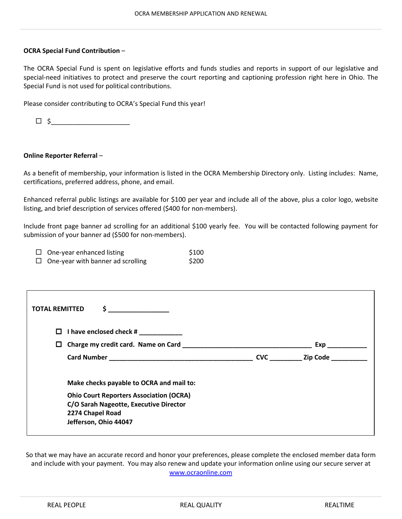## **OCRA Special Fund Contribution** –

The OCRA Special Fund is spent on legislative efforts and funds studies and reports in support of our legislative and special-need initiatives to protect and preserve the court reporting and captioning profession right here in Ohio. The Special Fund is not used for political contributions.

Please consider contributing to OCRA's Special Fund this year!

\$\_\_\_\_\_\_\_\_\_\_\_\_\_\_\_\_\_\_\_\_\_\_

## **Online Reporter Referral** –

As a benefit of membership, your information is listed in the OCRA Membership Directory only. Listing includes: Name, certifications, preferred address, phone, and email.

Enhanced referral public listings are available for \$100 per year and include all of the above, plus a color logo, website listing, and brief description of services offered (\$400 for non-members).

Include front page banner ad scrolling for an additional \$100 yearly fee. You will be contacted following payment for submission of your banner ad (\$500 for non-members).

| $\Box$ One-year enhanced listing         | \$100 |
|------------------------------------------|-------|
| $\Box$ One-year with banner ad scrolling | \$200 |

| <b>TOTAL REMITTED</b><br>\$.                                                                                                                                                      |            |          |
|-----------------------------------------------------------------------------------------------------------------------------------------------------------------------------------|------------|----------|
| I have enclosed check #<br>П.                                                                                                                                                     |            |          |
| Charge my credit card. Name on Card<br>$\Box$                                                                                                                                     |            | Exp      |
|                                                                                                                                                                                   | <b>CVC</b> | Zip Code |
| Make checks payable to OCRA and mail to:<br><b>Ohio Court Reporters Association (OCRA)</b><br>C/O Sarah Nageotte, Executive Director<br>2274 Chapel Road<br>Jefferson, Ohio 44047 |            |          |

So that we may have an accurate record and honor your preferences, please complete the enclosed member data form and include with your payment. You may also renew and update your information online using our secure server at www.ocraonline.com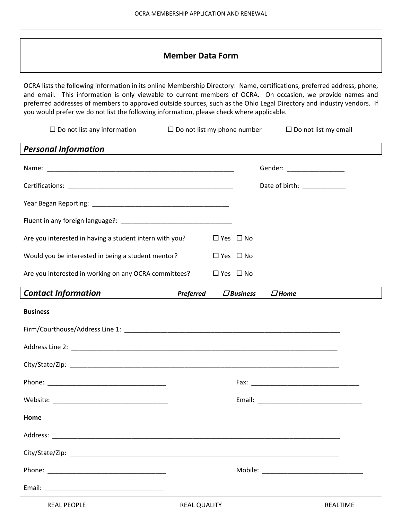## **Member Data Form**

OCRA lists the following information in its online Membership Directory: Name, certifications, preferred address, phone, and email. This information is only viewable to current members of OCRA. On occasion, we provide names and preferred addresses of members to approved outside sources, such as the Ohio Legal Directory and industry vendors. If you would prefer we do not list the following information, please check where applicable.

| $\Box$ Do not list any information                      | $\Box$ Do not list my phone number |                      |                 | $\Box$ Do not list my email                                 |          |
|---------------------------------------------------------|------------------------------------|----------------------|-----------------|-------------------------------------------------------------|----------|
| <b>Personal Information</b>                             |                                    |                      |                 | <u> 1989 - Johann Stoff, amerikansk politiker (d. 1989)</u> |          |
|                                                         |                                    |                      |                 | Gender: __________________                                  |          |
|                                                         |                                    |                      |                 | Date of birth: _______________                              |          |
|                                                         |                                    |                      |                 |                                                             |          |
|                                                         |                                    |                      |                 |                                                             |          |
| Are you interested in having a student intern with you? |                                    | $\Box$ Yes $\Box$ No |                 |                                                             |          |
| Would you be interested in being a student mentor?      |                                    | $\Box$ Yes $\Box$ No |                 |                                                             |          |
| Are you interested in working on any OCRA committees?   |                                    | $\Box$ Yes $\Box$ No |                 |                                                             |          |
| <b>Contact Information</b>                              | Preferred                          |                      | $\Box$ Business | $\Box$ Home                                                 |          |
| <b>Business</b>                                         |                                    |                      |                 |                                                             |          |
|                                                         |                                    |                      |                 |                                                             |          |
|                                                         |                                    |                      |                 |                                                             |          |
|                                                         |                                    |                      |                 |                                                             |          |
|                                                         |                                    |                      |                 |                                                             |          |
|                                                         |                                    |                      |                 |                                                             |          |
| Home                                                    |                                    |                      |                 |                                                             |          |
|                                                         |                                    |                      |                 |                                                             |          |
|                                                         |                                    |                      |                 |                                                             |          |
|                                                         |                                    |                      |                 |                                                             |          |
|                                                         |                                    |                      |                 |                                                             |          |
| <b>REAL PEOPLE</b>                                      | <b>REAL QUALITY</b>                |                      |                 |                                                             | REALTIME |